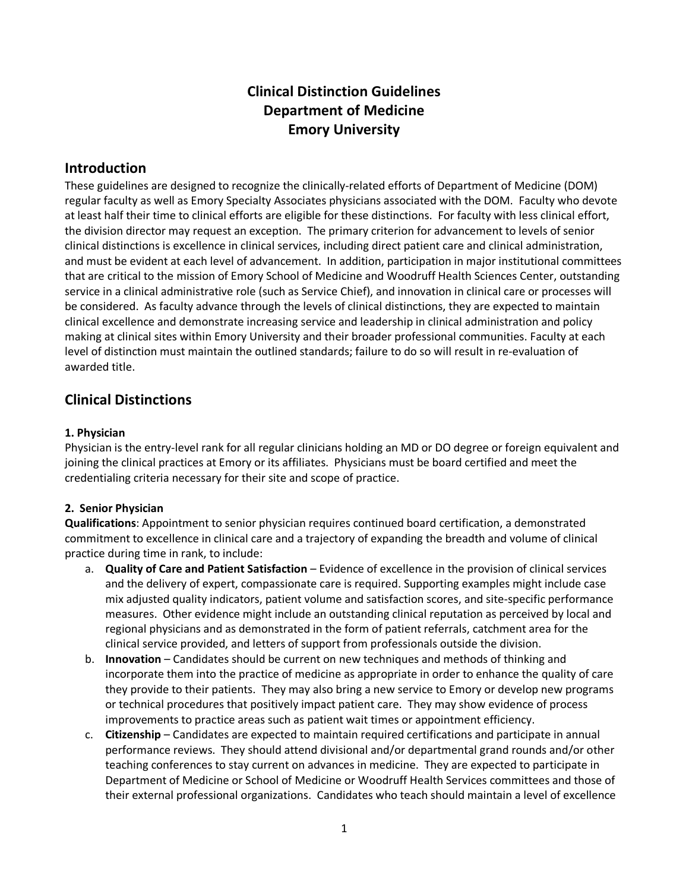# **Clinical Distinction Guidelines Department of Medicine Emory University**

## **Introduction**

These guidelines are designed to recognize the clinically-related efforts of Department of Medicine (DOM) regular faculty as well as Emory Specialty Associates physicians associated with the DOM. Faculty who devote at least half their time to clinical efforts are eligible for these distinctions. For faculty with less clinical effort, the division director may request an exception. The primary criterion for advancement to levels of senior clinical distinctions is excellence in clinical services, including direct patient care and clinical administration, and must be evident at each level of advancement. In addition, participation in major institutional committees that are critical to the mission of Emory School of Medicine and Woodruff Health Sciences Center, outstanding service in a clinical administrative role (such as Service Chief), and innovation in clinical care or processes will be considered. As faculty advance through the levels of clinical distinctions, they are expected to maintain clinical excellence and demonstrate increasing service and leadership in clinical administration and policy making at clinical sites within Emory University and their broader professional communities. Faculty at each level of distinction must maintain the outlined standards; failure to do so will result in re-evaluation of awarded title.

## **Clinical Distinctions**

#### **1. Physician**

Physician is the entry-level rank for all regular clinicians holding an MD or DO degree or foreign equivalent and joining the clinical practices at Emory or its affiliates. Physicians must be board certified and meet the credentialing criteria necessary for their site and scope of practice.

### **2. Senior Physician**

**Qualifications**: Appointment to senior physician requires continued board certification, a demonstrated commitment to excellence in clinical care and a trajectory of expanding the breadth and volume of clinical practice during time in rank, to include:

- a. **Quality of Care and Patient Satisfaction** Evidence of excellence in the provision of clinical services and the delivery of expert, compassionate care is required. Supporting examples might include case mix adjusted quality indicators, patient volume and satisfaction scores, and site-specific performance measures. Other evidence might include an outstanding clinical reputation as perceived by local and regional physicians and as demonstrated in the form of patient referrals, catchment area for the clinical service provided, and letters of support from professionals outside the division.
- b. **Innovation** Candidates should be current on new techniques and methods of thinking and incorporate them into the practice of medicine as appropriate in order to enhance the quality of care they provide to their patients. They may also bring a new service to Emory or develop new programs or technical procedures that positively impact patient care. They may show evidence of process improvements to practice areas such as patient wait times or appointment efficiency.
- c. **Citizenship** Candidates are expected to maintain required certifications and participate in annual performance reviews. They should attend divisional and/or departmental grand rounds and/or other teaching conferences to stay current on advances in medicine. They are expected to participate in Department of Medicine or School of Medicine or Woodruff Health Services committees and those of their external professional organizations. Candidates who teach should maintain a level of excellence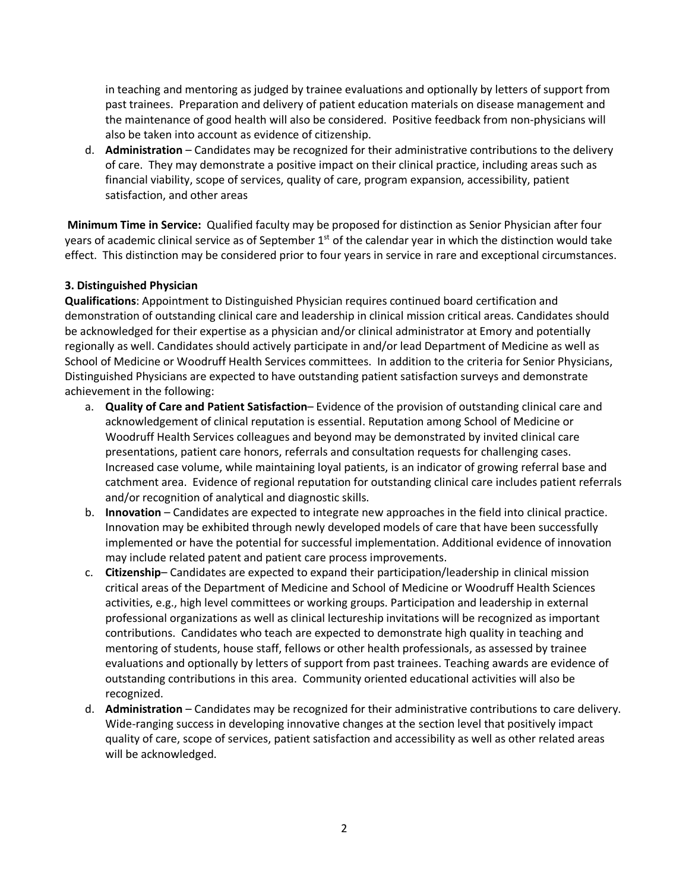in teaching and mentoring as judged by trainee evaluations and optionally by letters of support from past trainees. Preparation and delivery of patient education materials on disease management and the maintenance of good health will also be considered. Positive feedback from non-physicians will also be taken into account as evidence of citizenship.

d. **Administration** – Candidates may be recognized for their administrative contributions to the delivery of care. They may demonstrate a positive impact on their clinical practice, including areas such as financial viability, scope of services, quality of care, program expansion, accessibility, patient satisfaction, and other areas

**Minimum Time in Service:** Qualified faculty may be proposed for distinction as Senior Physician after four years of academic clinical service as of September 1<sup>st</sup> of the calendar year in which the distinction would take effect. This distinction may be considered prior to four years in service in rare and exceptional circumstances.

### **3. Distinguished Physician**

**Qualifications**: Appointment to Distinguished Physician requires continued board certification and demonstration of outstanding clinical care and leadership in clinical mission critical areas. Candidates should be acknowledged for their expertise as a physician and/or clinical administrator at Emory and potentially regionally as well. Candidates should actively participate in and/or lead Department of Medicine as well as School of Medicine or Woodruff Health Services committees. In addition to the criteria for Senior Physicians, Distinguished Physicians are expected to have outstanding patient satisfaction surveys and demonstrate achievement in the following:

- a. **Quality of Care and Patient Satisfaction** Evidence of the provision of outstanding clinical care and acknowledgement of clinical reputation is essential. Reputation among School of Medicine or Woodruff Health Services colleagues and beyond may be demonstrated by invited clinical care presentations, patient care honors, referrals and consultation requests for challenging cases. Increased case volume, while maintaining loyal patients, is an indicator of growing referral base and catchment area. Evidence of regional reputation for outstanding clinical care includes patient referrals and/or recognition of analytical and diagnostic skills.
- b. **Innovation** Candidates are expected to integrate new approaches in the field into clinical practice. Innovation may be exhibited through newly developed models of care that have been successfully implemented or have the potential for successful implementation. Additional evidence of innovation may include related patent and patient care process improvements.
- c. **Citizenship** Candidates are expected to expand their participation/leadership in clinical mission critical areas of the Department of Medicine and School of Medicine or Woodruff Health Sciences activities, e.g., high level committees or working groups. Participation and leadership in external professional organizations as well as clinical lectureship invitations will be recognized as important contributions. Candidates who teach are expected to demonstrate high quality in teaching and mentoring of students, house staff, fellows or other health professionals, as assessed by trainee evaluations and optionally by letters of support from past trainees. Teaching awards are evidence of outstanding contributions in this area. Community oriented educational activities will also be recognized.
- d. **Administration** Candidates may be recognized for their administrative contributions to care delivery. Wide-ranging success in developing innovative changes at the section level that positively impact quality of care, scope of services, patient satisfaction and accessibility as well as other related areas will be acknowledged.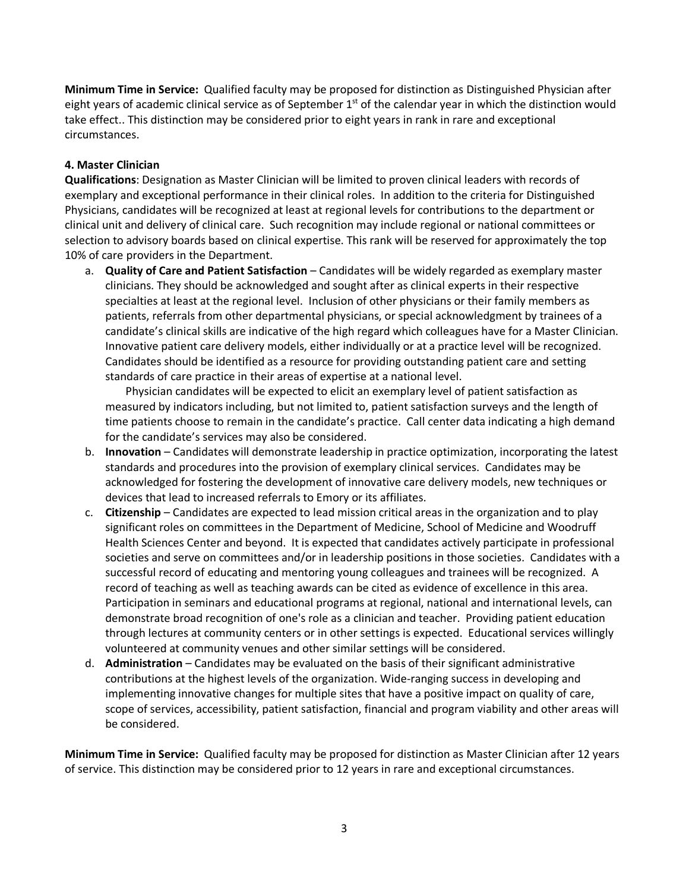**Minimum Time in Service:** Qualified faculty may be proposed for distinction as Distinguished Physician after eight years of academic clinical service as of September  $1<sup>st</sup>$  of the calendar year in which the distinction would take effect.. This distinction may be considered prior to eight years in rank in rare and exceptional circumstances.

#### **4. Master Clinician**

**Qualifications**: Designation as Master Clinician will be limited to proven clinical leaders with records of exemplary and exceptional performance in their clinical roles. In addition to the criteria for Distinguished Physicians, candidates will be recognized at least at regional levels for contributions to the department or clinical unit and delivery of clinical care. Such recognition may include regional or national committees or selection to advisory boards based on clinical expertise. This rank will be reserved for approximately the top 10% of care providers in the Department.

a. **Quality of Care and Patient Satisfaction** – Candidates will be widely regarded as exemplary master clinicians. They should be acknowledged and sought after as clinical experts in their respective specialties at least at the regional level. Inclusion of other physicians or their family members as patients, referrals from other departmental physicians, or special acknowledgment by trainees of a candidate's clinical skills are indicative of the high regard which colleagues have for a Master Clinician. Innovative patient care delivery models, either individually or at a practice level will be recognized. Candidates should be identified as a resource for providing outstanding patient care and setting standards of care practice in their areas of expertise at a national level.

Physician candidates will be expected to elicit an exemplary level of patient satisfaction as measured by indicators including, but not limited to, patient satisfaction surveys and the length of time patients choose to remain in the candidate's practice. Call center data indicating a high demand for the candidate's services may also be considered.

- b. **Innovation** Candidates will demonstrate leadership in practice optimization, incorporating the latest standards and procedures into the provision of exemplary clinical services. Candidates may be acknowledged for fostering the development of innovative care delivery models, new techniques or devices that lead to increased referrals to Emory or its affiliates.
- c. **Citizenship**  Candidates are expected to lead mission critical areas in the organization and to play significant roles on committees in the Department of Medicine, School of Medicine and Woodruff Health Sciences Center and beyond. It is expected that candidates actively participate in professional societies and serve on committees and/or in leadership positions in those societies. Candidates with a successful record of educating and mentoring young colleagues and trainees will be recognized. A record of teaching as well as teaching awards can be cited as evidence of excellence in this area. Participation in seminars and educational programs at regional, national and international levels, can demonstrate broad recognition of one's role as a clinician and teacher. Providing patient education through lectures at community centers or in other settings is expected. Educational services willingly volunteered at community venues and other similar settings will be considered.
- d. **Administration** Candidates may be evaluated on the basis of their significant administrative contributions at the highest levels of the organization. Wide-ranging success in developing and implementing innovative changes for multiple sites that have a positive impact on quality of care, scope of services, accessibility, patient satisfaction, financial and program viability and other areas will be considered.

**Minimum Time in Service:** Qualified faculty may be proposed for distinction as Master Clinician after 12 years of service. This distinction may be considered prior to 12 years in rare and exceptional circumstances.